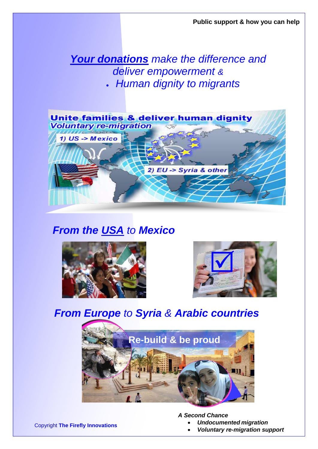### *Your donations make the difference and deliver empowerment &* • *Human dignity to migrants*



## *From the USA to Mexico*





# *From Europe to Syria & Arabic countries*



*A Second Chance*

- *Undocumented migration*
- *Voluntary re-migration support*

Copyright **The Firefly Innovations**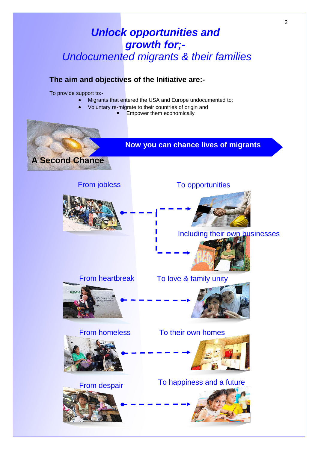### *Unlock opportunities and growth for;- Undocumented migrants & their families*

#### **The aim and objectives of the Initiative are:-**

To provide support to:-

- Migrants that entered the USA and Europe undocumented to;
	- Voluntary re-migrate to their countries of origin and
		- **Empower them economically**